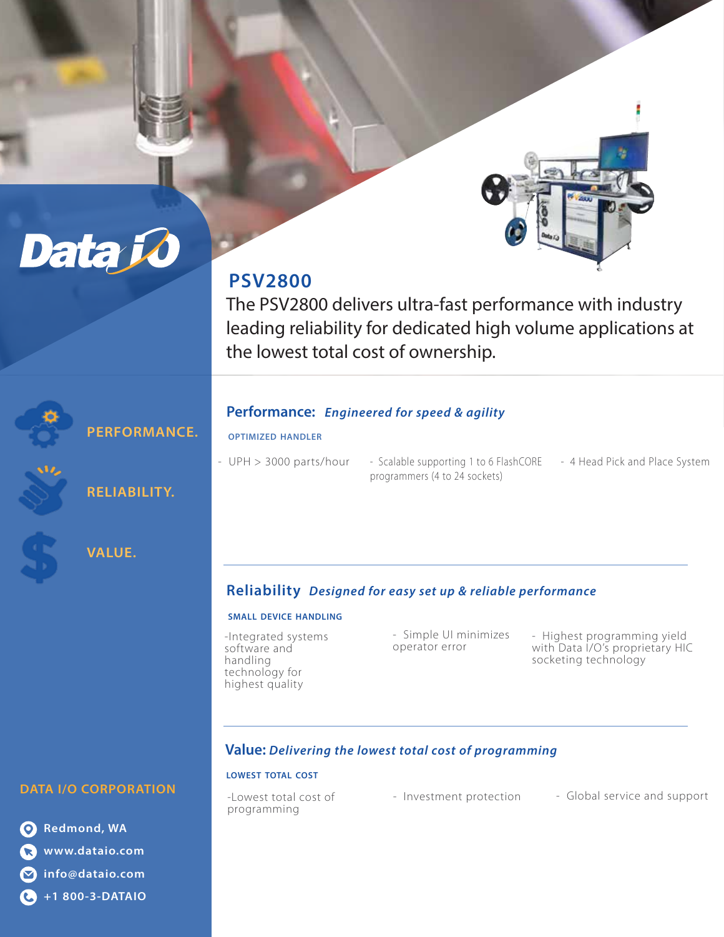

# **PSV2800**

The PSV2800 delivers ultra-fast performance with industry leading reliability for dedicated high volume applications at the lowest total cost of ownership.

## **Performance:** *Engineered for speed & agility*

## **OPTIMIZED HANDLER**

- UPH > 3000 parts/hour
- Scalable supporting 1 to 6 FlashCORE 4 Head Pick and Place System programmers (4 to 24 sockets)
	-

# **Reliability** *Designed for easy set up & reliable performance*

### **SMALL DEVICE HANDLING**

-Integrated systems software and handling technology for highest quality

- Simple UI minimizes operator error

- Highest programming yield with Data I/O's proprietary HIC socketing technology

# **Value:** *Delivering the lowest total cost of programming*

## **LOWEST TOTAL COST**

-Lowest total cost of programming

- Investment protection - Global service and support

## **DATA I/O CORPORATION**

**PERFORMANCE.** 

**RELIABILITY.** 

**VALUE.**

**Data k** 

**Redmond, WA www.dataio.com info@dataio.com +1 800-3-DATAIO**